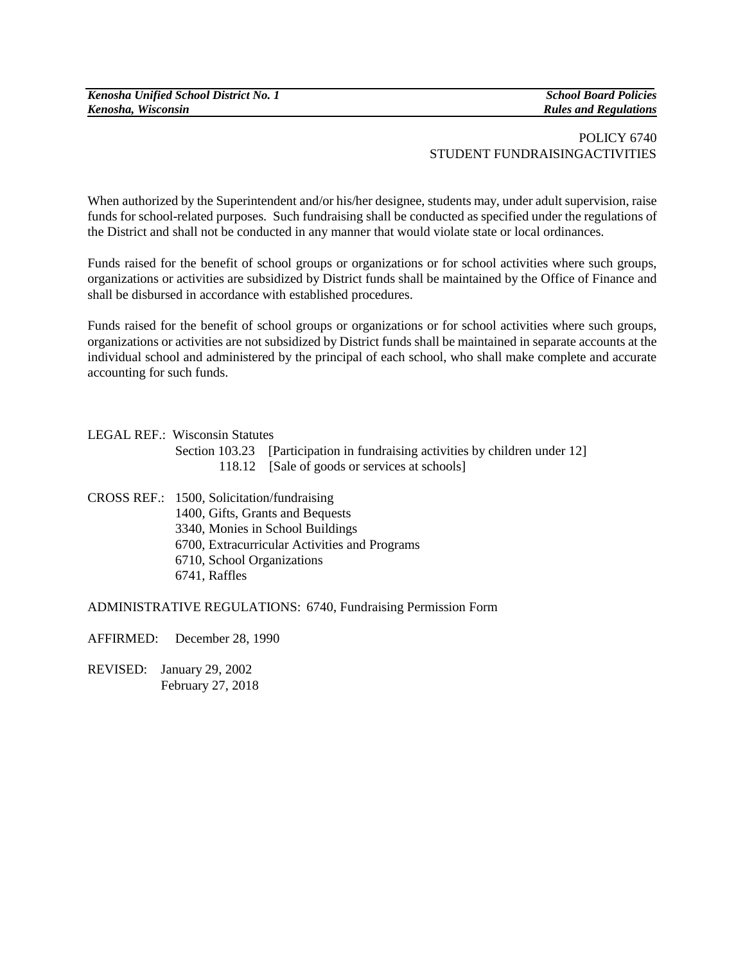*Kenosha Unified School District No. 1 School Board Policies Kenosha, Wisconsin Rules and Regulations*

## POLICY 6740 STUDENT FUNDRAISINGACTIVITIES

When authorized by the Superintendent and/or his/her designee, students may, under adult supervision, raise funds for school-related purposes. Such fundraising shall be conducted as specified under the regulations of the District and shall not be conducted in any manner that would violate state or local ordinances.

Funds raised for the benefit of school groups or organizations or for school activities where such groups, organizations or activities are subsidized by District funds shall be maintained by the Office of Finance and shall be disbursed in accordance with established procedures.

Funds raised for the benefit of school groups or organizations or for school activities where such groups, organizations or activities are not subsidized by District funds shall be maintained in separate accounts at the individual school and administered by the principal of each school, who shall make complete and accurate accounting for such funds.

## LEGAL REF.: Wisconsin Statutes

Section 103.23 [Participation in fundraising activities by children under 12] 118.12 [Sale of goods or services at schools]

CROSS REF.: 1500, Solicitation/fundraising 1400, Gifts, Grants and Bequests 3340, Monies in School Buildings 6700, Extracurricular Activities and Programs 6710, School Organizations 6741, Raffles

ADMINISTRATIVE REGULATIONS: 6740, Fundraising Permission Form

AFFIRMED: December 28, 1990

REVISED: January 29, 2002 February 27, 2018